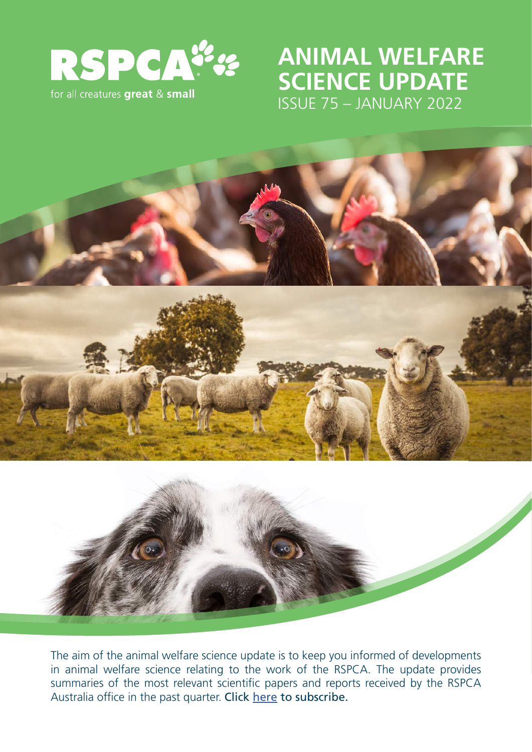

# **ANIMAL WELFARE SCIENCE UPDATE** ISSUE 75 – JANUARY 2022



The aim of the animal welfare science update is to keep you informed of developments in animal welfare science relating to the work of the RSPCA. The update provides summaries of the most relevant scientific papers and reports received by the RSPCA Australia office in the past quarter. Click [here](https://rspca.us10.list-manage.com/subscribe?u=8fd65fef52a48393e56e622bb&id=d70eb613f2&group[18545][2]=1) to subscribe.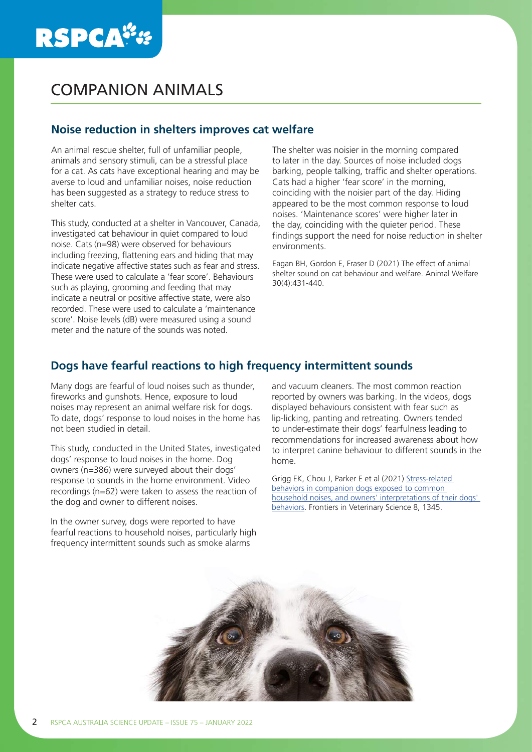# **RSPCA\*\***

# COMPANION ANIMALS

## **Noise reduction in shelters improves cat welfare**

An animal rescue shelter, full of unfamiliar people, animals and sensory stimuli, can be a stressful place for a cat. As cats have exceptional hearing and may be averse to loud and unfamiliar noises, noise reduction has been suggested as a strategy to reduce stress to shelter cats.

This study, conducted at a shelter in Vancouver, Canada, investigated cat behaviour in quiet compared to loud noise. Cats (n=98) were observed for behaviours including freezing, flattening ears and hiding that may indicate negative affective states such as fear and stress. These were used to calculate a 'fear score'. Behaviours such as playing, grooming and feeding that may indicate a neutral or positive affective state, were also recorded. These were used to calculate a 'maintenance score'. Noise levels (dB) were measured using a sound meter and the nature of the sounds was noted.

The shelter was noisier in the morning compared to later in the day. Sources of noise included dogs barking, people talking, traffic and shelter operations. Cats had a higher 'fear score' in the morning, coinciding with the noisier part of the day. Hiding appeared to be the most common response to loud noises. 'Maintenance scores' were higher later in the day, coinciding with the quieter period. These findings support the need for noise reduction in shelter environments.

Eagan BH, Gordon E, Fraser D (2021) The effect of animal shelter sound on cat behaviour and welfare. Animal Welfare 30(4):431-440.

## **Dogs have fearful reactions to high frequency intermittent sounds**

Many dogs are fearful of loud noises such as thunder, fireworks and gunshots. Hence, exposure to loud noises may represent an animal welfare risk for dogs. To date, dogs' response to loud noises in the home has not been studied in detail.

This study, conducted in the United States, investigated dogs' response to loud noises in the home. Dog owners (n=386) were surveyed about their dogs' response to sounds in the home environment. Video recordings (n=62) were taken to assess the reaction of the dog and owner to different noises.

In the owner survey, dogs were reported to have fearful reactions to household noises, particularly high frequency intermittent sounds such as smoke alarms

and vacuum cleaners. The most common reaction reported by owners was barking. In the videos, dogs displayed behaviours consistent with fear such as lip-licking, panting and retreating. Owners tended to under-estimate their dogs' fearfulness leading to recommendations for increased awareness about how to interpret canine behaviour to different sounds in the home.

Grigg EK, Chou J, Parker E et al (2021) [Stress-related](https://pubmed.ncbi.nlm.nih.gov/34820438/)  [behaviors in companion dogs exposed to common](https://pubmed.ncbi.nlm.nih.gov/34820438/)  [household noises, and owners' interpretations of their dogs'](https://pubmed.ncbi.nlm.nih.gov/34820438/)  [behaviors.](https://pubmed.ncbi.nlm.nih.gov/34820438/) Frontiers in Veterinary Science 8, 1345.

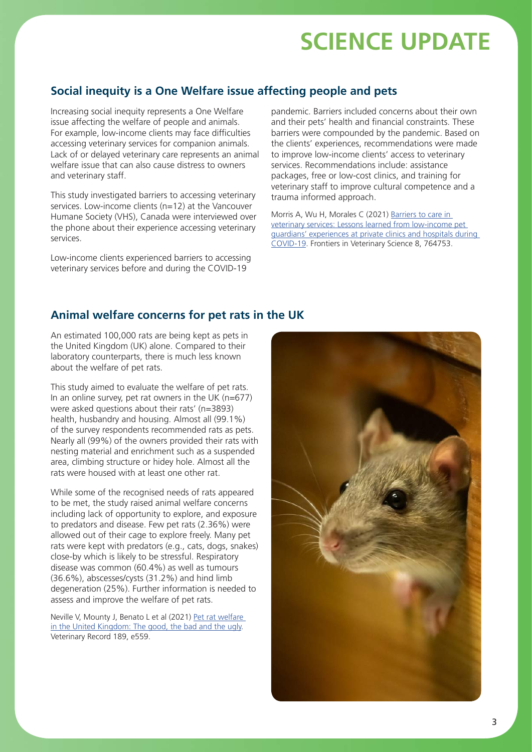## **Social inequity is a One Welfare issue affecting people and pets**

Increasing social inequity represents a One Welfare issue affecting the welfare of people and animals. For example, low-income clients may face difficulties accessing veterinary services for companion animals. Lack of or delayed veterinary care represents an animal welfare issue that can also cause distress to owners and veterinary staff.

This study investigated barriers to accessing veterinary services. Low-income clients (n=12) at the Vancouver Humane Society (VHS), Canada were interviewed over the phone about their experience accessing veterinary services.

Low-income clients experienced barriers to accessing veterinary services before and during the COVID-19

pandemic. Barriers included concerns about their own and their pets' health and financial constraints. These barriers were compounded by the pandemic. Based on the clients' experiences, recommendations were made to improve low-income clients' access to veterinary services. Recommendations include: assistance packages, free or low-cost clinics, and training for veterinary staff to improve cultural competence and a trauma informed approach.

Morris A, Wu H, Morales C (2021) Barriers to care in [veterinary services: Lessons learned from low-income pet](https://www.frontiersin.org/articles/10.3389/fvets.2021.764753/full)  [guardians' experiences at private clinics and hospitals during](https://www.frontiersin.org/articles/10.3389/fvets.2021.764753/full)  [COVID-19.](https://www.frontiersin.org/articles/10.3389/fvets.2021.764753/full) Frontiers in Veterinary Science 8, 764753.

## **Animal welfare concerns for pet rats in the UK**

An estimated 100,000 rats are being kept as pets in the United Kingdom (UK) alone. Compared to their laboratory counterparts, there is much less known about the welfare of pet rats.

This study aimed to evaluate the welfare of pet rats. In an online survey, pet rat owners in the UK ( $n=677$ ) were asked questions about their rats' (n=3893) health, husbandry and housing. Almost all (99.1%) of the survey respondents recommended rats as pets. Nearly all (99%) of the owners provided their rats with nesting material and enrichment such as a suspended area, climbing structure or hidey hole. Almost all the rats were housed with at least one other rat.

While some of the recognised needs of rats appeared to be met, the study raised animal welfare concerns including lack of opportunity to explore, and exposure to predators and disease. Few pet rats (2.36%) were allowed out of their cage to explore freely. Many pet rats were kept with predators (e.g., cats, dogs, snakes) close-by which is likely to be stressful. Respiratory disease was common (60.4%) as well as tumours (36.6%), abscesses/cysts (31.2%) and hind limb degeneration (25%). Further information is needed to assess and improve the welfare of pet rats.

Neville V, Mounty J, Benato L et al (2021) Pet rat welfare [in the United Kingdom: The good, the bad and the ugly.](https://bvajournals.onlinelibrary.wiley.com/doi/10.1002/vetr.559) Veterinary Record 189, e559.

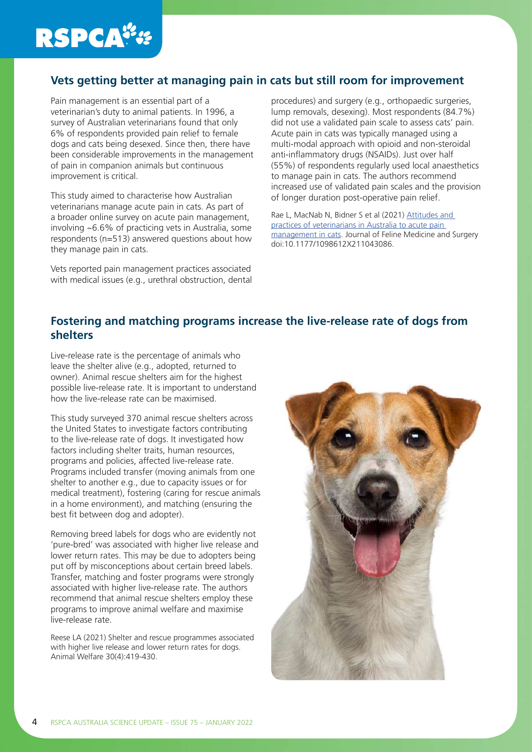

## **Vets getting better at managing pain in cats but still room for improvement**

Pain management is an essential part of a veterinarian's duty to animal patients. In 1996, a survey of Australian veterinarians found that only 6% of respondents provided pain relief to female dogs and cats being desexed. Since then, there have been considerable improvements in the management of pain in companion animals but continuous improvement is critical.

This study aimed to characterise how Australian veterinarians manage acute pain in cats. As part of a broader online survey on acute pain management, involving ~6.6% of practicing vets in Australia, some respondents (n=513) answered questions about how they manage pain in cats.

Vets reported pain management practices associated with medical issues (e.g., urethral obstruction, dental procedures) and surgery (e.g., orthopaedic surgeries, lump removals, desexing). Most respondents (84.7%) did not use a validated pain scale to assess cats' pain. Acute pain in cats was typically managed using a multi-modal approach with opioid and non-steroidal anti-inflammatory drugs (NSAIDs). Just over half (55%) of respondents regularly used local anaesthetics to manage pain in cats. The authors recommend increased use of validated pain scales and the provision of longer duration post-operative pain relief.

Rae L, MacNab N, Bidner S et al (2021) [Attitudes and](https://pubmed.ncbi.nlm.nih.gov/34542356/)  [practices of veterinarians in Australia to acute pain](https://pubmed.ncbi.nlm.nih.gov/34542356/)  [management in cats.](https://pubmed.ncbi.nlm.nih.gov/34542356/) Journal of Feline Medicine and Surgery doi:10.1177/1098612X211043086.

### **Fostering and matching programs increase the live-release rate of dogs from shelters**

Live-release rate is the percentage of animals who leave the shelter alive (e.g., adopted, returned to owner). Animal rescue shelters aim for the highest possible live-release rate. It is important to understand how the live-release rate can be maximised.

This study surveyed 370 animal rescue shelters across the United States to investigate factors contributing to the live-release rate of dogs. It investigated how factors including shelter traits, human resources, programs and policies, affected live-release rate. Programs included transfer (moving animals from one shelter to another e.g., due to capacity issues or for medical treatment), fostering (caring for rescue animals in a home environment), and matching (ensuring the best fit between dog and adopter).

Removing breed labels for dogs who are evidently not 'pure-bred' was associated with higher live release and lower return rates. This may be due to adopters being put off by misconceptions about certain breed labels. Transfer, matching and foster programs were strongly associated with higher live-release rate. The authors recommend that animal rescue shelters employ these programs to improve animal welfare and maximise live-release rate.

Reese LA (2021) Shelter and rescue programmes associated with higher live release and lower return rates for dogs. Animal Welfare 30(4):419-430.

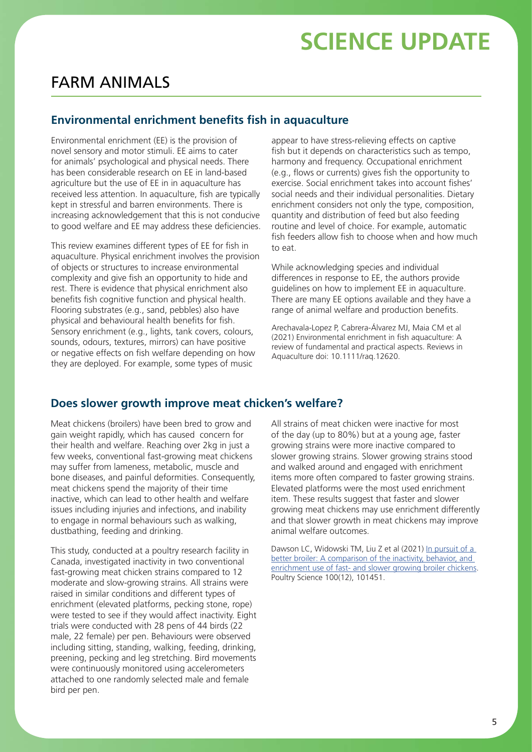## FARM ANIMALS

### **Environmental enrichment benefits fish in aquaculture**

Environmental enrichment (EE) is the provision of novel sensory and motor stimuli. EE aims to cater for animals' psychological and physical needs. There has been considerable research on EE in land-based agriculture but the use of EE in in aquaculture has received less attention. In aquaculture, fish are typically kept in stressful and barren environments. There is increasing acknowledgement that this is not conducive to good welfare and EE may address these deficiencies.

This review examines different types of EE for fish in aquaculture. Physical enrichment involves the provision of objects or structures to increase environmental complexity and give fish an opportunity to hide and rest. There is evidence that physical enrichment also benefits fish cognitive function and physical health. Flooring substrates (e.g., sand, pebbles) also have physical and behavioural health benefits for fish. Sensory enrichment (e.g., lights, tank covers, colours, sounds, odours, textures, mirrors) can have positive or negative effects on fish welfare depending on how they are deployed. For example, some types of music

appear to have stress-relieving effects on captive fish but it depends on characteristics such as tempo, harmony and frequency. Occupational enrichment (e.g., flows or currents) gives fish the opportunity to exercise. Social enrichment takes into account fishes' social needs and their individual personalities. Dietary enrichment considers not only the type, composition, quantity and distribution of feed but also feeding routine and level of choice. For example, automatic fish feeders allow fish to choose when and how much to eat.

While acknowledging species and individual differences in response to EE, the authors provide guidelines on how to implement EE in aquaculture. There are many EE options available and they have a range of animal welfare and production benefits.

Arechavala-Lopez P, Cabrera-Álvarez MJ, Maia CM et al (2021) Environmental enrichment in fish aquaculture: A review of fundamental and practical aspects. Reviews in Aquaculture doi: 10.1111/raq.12620.

### **Does slower growth improve meat chicken's welfare?**

Meat chickens (broilers) have been bred to grow and gain weight rapidly, which has caused concern for their health and welfare. Reaching over 2kg in just a few weeks, conventional fast-growing meat chickens may suffer from lameness, metabolic, muscle and bone diseases, and painful deformities. Consequently, meat chickens spend the majority of their time inactive, which can lead to other health and welfare issues including injuries and infections, and inability to engage in normal behaviours such as walking, dustbathing, feeding and drinking.

This study, conducted at a poultry research facility in Canada, investigated inactivity in two conventional fast-growing meat chicken strains compared to 12 moderate and slow-growing strains. All strains were raised in similar conditions and different types of enrichment (elevated platforms, pecking stone, rope) were tested to see if they would affect inactivity. Eight trials were conducted with 28 pens of 44 birds (22 male, 22 female) per pen. Behaviours were observed including sitting, standing, walking, feeding, drinking, preening, pecking and leg stretching. Bird movements were continuously monitored using accelerometers attached to one randomly selected male and female bird per pen.

All strains of meat chicken were inactive for most of the day (up to 80%) but at a young age, faster growing strains were more inactive compared to slower growing strains. Slower growing strains stood and walked around and engaged with enrichment items more often compared to faster growing strains. Elevated platforms were the most used enrichment item. These results suggest that faster and slower growing meat chickens may use enrichment differently and that slower growth in meat chickens may improve animal welfare outcomes.

Dawson LC, Widowski TM, Liu Z et al (2021) [In pursuit of a](https://www.sciencedirect.com/science/article/pii/S0032579121004740?via%3Dihub)  better broiler: A comparison of the inactivity, behavior, and [enrichment use of fast- and slower growing broiler chickens](https://www.sciencedirect.com/science/article/pii/S0032579121004740?via%3Dihub). Poultry Science 100(12), 101451.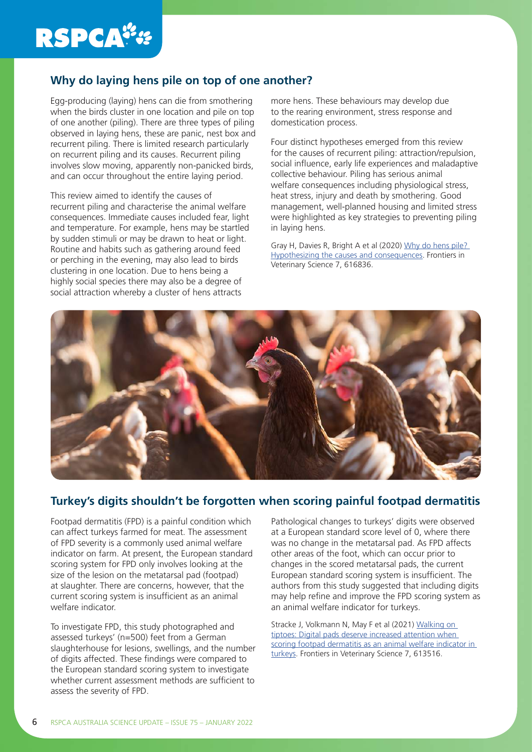# **RSPCA##**

## **Why do laying hens pile on top of one another?**

Egg-producing (laying) hens can die from smothering when the birds cluster in one location and pile on top of one another (piling). There are three types of piling observed in laying hens, these are panic, nest box and recurrent piling. There is limited research particularly on recurrent piling and its causes. Recurrent piling involves slow moving, apparently non-panicked birds, and can occur throughout the entire laying period.

This review aimed to identify the causes of recurrent piling and characterise the animal welfare consequences. Immediate causes included fear, light and temperature. For example, hens may be startled by sudden stimuli or may be drawn to heat or light. Routine and habits such as gathering around feed or perching in the evening, may also lead to birds clustering in one location. Due to hens being a highly social species there may also be a degree of social attraction whereby a cluster of hens attracts

more hens. These behaviours may develop due to the rearing environment, stress response and domestication process.

Four distinct hypotheses emerged from this review for the causes of recurrent piling: attraction/repulsion, social influence, early life experiences and maladaptive collective behaviour. Piling has serious animal welfare consequences including physiological stress, heat stress, injury and death by smothering. Good management, well-planned housing and limited stress were highlighted as key strategies to preventing piling in laying hens.

Gray H, Davies R, Bright A et al (2020) [Why do hens pile?](https://www.frontiersin.org/articles/10.3389/fvets.2020.616836/full)  [Hypothesizing the causes and consequences.](https://www.frontiersin.org/articles/10.3389/fvets.2020.616836/full) Frontiers in Veterinary Science 7, 616836.



## **Turkey's digits shouldn't be forgotten when scoring painful footpad dermatitis**

Footpad dermatitis (FPD) is a painful condition which can affect turkeys farmed for meat. The assessment of FPD severity is a commonly used animal welfare indicator on farm. At present, the European standard scoring system for FPD only involves looking at the size of the lesion on the metatarsal pad (footpad) at slaughter. There are concerns, however, that the current scoring system is insufficient as an animal welfare indicator.

To investigate FPD, this study photographed and assessed turkeys' (n=500) feet from a German slaughterhouse for lesions, swellings, and the number of digits affected. These findings were compared to the European standard scoring system to investigate whether current assessment methods are sufficient to assess the severity of FPD.

Pathological changes to turkeys' digits were observed at a European standard score level of 0, where there was no change in the metatarsal pad. As FPD affects other areas of the foot, which can occur prior to changes in the scored metatarsal pads, the current European standard scoring system is insufficient. The authors from this study suggested that including digits may help refine and improve the FPD scoring system as an animal welfare indicator for turkeys.

Stracke J, Volkmann N, May F et al (2021) [Walking on](https://www.frontiersin.org/articles/10.3389/fvets.2020.613516/full)  [tiptoes: Digital pads deserve increased attention when](https://www.frontiersin.org/articles/10.3389/fvets.2020.613516/full)  [scoring footpad dermatitis as an animal welfare indicator in](https://www.frontiersin.org/articles/10.3389/fvets.2020.613516/full)  [turkeys](https://www.frontiersin.org/articles/10.3389/fvets.2020.613516/full). Frontiers in Veterinary Science 7, 613516.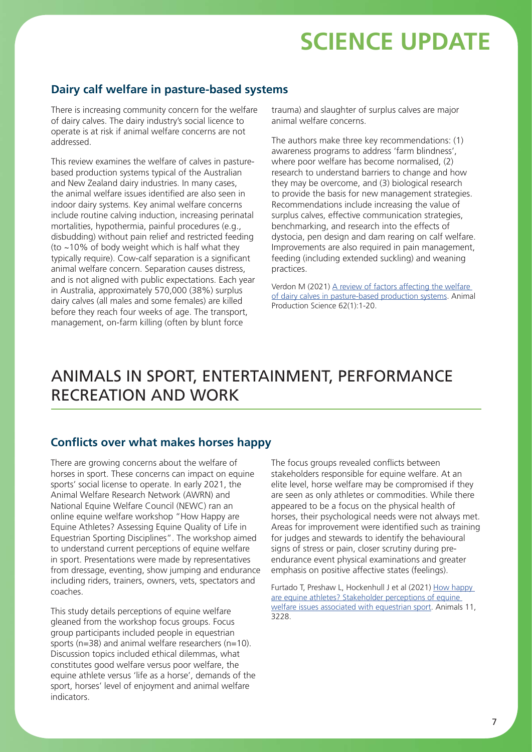### **Dairy calf welfare in pasture-based systems**

There is increasing community concern for the welfare of dairy calves. The dairy industry's social licence to operate is at risk if animal welfare concerns are not addressed.

This review examines the welfare of calves in pasturebased production systems typical of the Australian and New Zealand dairy industries. In many cases, the animal welfare issues identified are also seen in indoor dairy systems. Key animal welfare concerns include routine calving induction, increasing perinatal mortalities, hypothermia, painful procedures (e.g., disbudding) without pain relief and restricted feeding (to ~10% of body weight which is half what they typically require). Cow-calf separation is a significant animal welfare concern. Separation causes distress, and is not aligned with public expectations. Each year in Australia, approximately 570,000 (38%) surplus dairy calves (all males and some females) are killed before they reach four weeks of age. The transport, management, on-farm killing (often by blunt force

trauma) and slaughter of surplus calves are major animal welfare concerns.

The authors make three key recommendations: (1) awareness programs to address 'farm blindness', where poor welfare has become normalised, (2) research to understand barriers to change and how they may be overcome, and (3) biological research to provide the basis for new management strategies. Recommendations include increasing the value of surplus calves, effective communication strategies, benchmarking, and research into the effects of dystocia, pen design and dam rearing on calf welfare. Improvements are also required in pain management, feeding (including extended suckling) and weaning practices.

Verdon M (2021) A review of factors affecting the welfare [of dairy calves in pasture-based production systems](https://www.publish.csiro.au/AN/AN21139). Animal Production Science 62(1):1-20.

## ANIMALS IN SPORT, ENTERTAINMENT, PERFORMANCE RECREATION AND WORK

### **Conflicts over what makes horses happy**

There are growing concerns about the welfare of horses in sport. These concerns can impact on equine sports' social license to operate. In early 2021, the Animal Welfare Research Network (AWRN) and National Equine Welfare Council (NEWC) ran an online equine welfare workshop "How Happy are Equine Athletes? Assessing Equine Quality of Life in Equestrian Sporting Disciplines". The workshop aimed to understand current perceptions of equine welfare in sport. Presentations were made by representatives from dressage, eventing, show jumping and endurance including riders, trainers, owners, vets, spectators and coaches.

This study details perceptions of equine welfare gleaned from the workshop focus groups. Focus group participants included people in equestrian sports ( $n=38$ ) and animal welfare researchers ( $n=10$ ). Discussion topics included ethical dilemmas, what constitutes good welfare versus poor welfare, the equine athlete versus 'life as a horse', demands of the sport, horses' level of enjoyment and animal welfare indicators.

The focus groups revealed conflicts between stakeholders responsible for equine welfare. At an elite level, horse welfare may be compromised if they are seen as only athletes or commodities. While there appeared to be a focus on the physical health of horses, their psychological needs were not always met. Areas for improvement were identified such as training for judges and stewards to identify the behavioural signs of stress or pain, closer scrutiny during preendurance event physical examinations and greater emphasis on positive affective states (feelings).

Furtado T, Preshaw L, Hockenhull J et al (2021) How happy [are equine athletes? Stakeholder perceptions of equine](https://www.mdpi.com/2076-2615/11/11/3228)  [welfare issues associated with equestrian sport](https://www.mdpi.com/2076-2615/11/11/3228). Animals 11, 3228.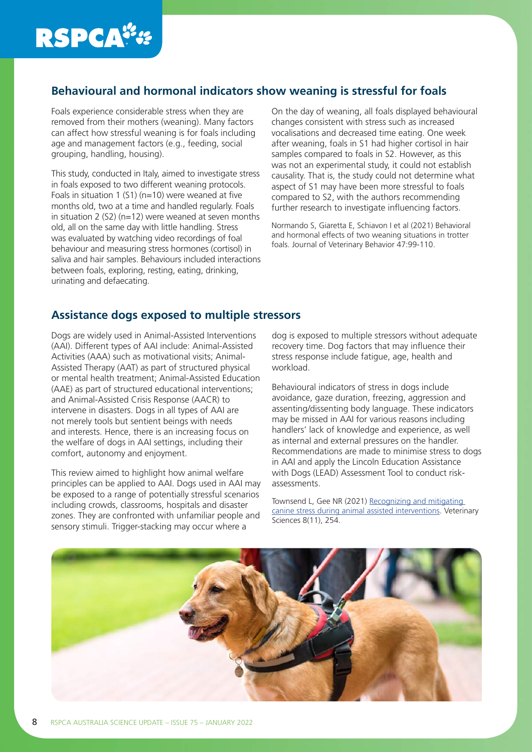# **RSPCA##**

## **Behavioural and hormonal indicators show weaning is stressful for foals**

Foals experience considerable stress when they are removed from their mothers (weaning). Many factors can affect how stressful weaning is for foals including age and management factors (e.g., feeding, social grouping, handling, housing).

This study, conducted in Italy, aimed to investigate stress in foals exposed to two different weaning protocols. Foals in situation 1 (S1) ( $n=10$ ) were weaned at five months old, two at a time and handled regularly. Foals in situation 2 (S2) ( $n=12$ ) were weaned at seven months old, all on the same day with little handling. Stress was evaluated by watching video recordings of foal behaviour and measuring stress hormones (cortisol) in saliva and hair samples. Behaviours included interactions between foals, exploring, resting, eating, drinking, urinating and defaecating.

On the day of weaning, all foals displayed behavioural changes consistent with stress such as increased vocalisations and decreased time eating. One week after weaning, foals in S1 had higher cortisol in hair samples compared to foals in S2. However, as this was not an experimental study, it could not establish causality. That is, the study could not determine what aspect of S1 may have been more stressful to foals compared to S2, with the authors recommending further research to investigate influencing factors.

Normando S, Giaretta E, Schiavon I et al (2021) Behavioral and hormonal effects of two weaning situations in trotter foals. Journal of Veterinary Behavior 47:99-110.

## **Assistance dogs exposed to multiple stressors**

Dogs are widely used in Animal-Assisted Interventions (AAI). Different types of AAI include: Animal-Assisted Activities (AAA) such as motivational visits; Animal-Assisted Therapy (AAT) as part of structured physical or mental health treatment; Animal-Assisted Education (AAE) as part of structured educational interventions; and Animal-Assisted Crisis Response (AACR) to intervene in disasters. Dogs in all types of AAI are not merely tools but sentient beings with needs and interests. Hence, there is an increasing focus on the welfare of dogs in AAI settings, including their comfort, autonomy and enjoyment.

This review aimed to highlight how animal welfare principles can be applied to AAI. Dogs used in AAI may be exposed to a range of potentially stressful scenarios including crowds, classrooms, hospitals and disaster zones. They are confronted with unfamiliar people and sensory stimuli. Trigger-stacking may occur where a

dog is exposed to multiple stressors without adequate recovery time. Dog factors that may influence their stress response include fatigue, age, health and workload.

Behavioural indicators of stress in dogs include avoidance, gaze duration, freezing, aggression and assenting/dissenting body language. These indicators may be missed in AAI for various reasons including handlers' lack of knowledge and experience, as well as internal and external pressures on the handler. Recommendations are made to minimise stress to dogs in AAI and apply the Lincoln Education Assistance with Dogs (LEAD) Assessment Tool to conduct riskassessments.

Townsend L, Gee NR (2021) [Recognizing and mitigating](https://www.mdpi.com/2306-7381/8/11/254/htm)  [canine stress during animal assisted interventions](https://www.mdpi.com/2306-7381/8/11/254/htm). Veterinary Sciences 8(11), 254.

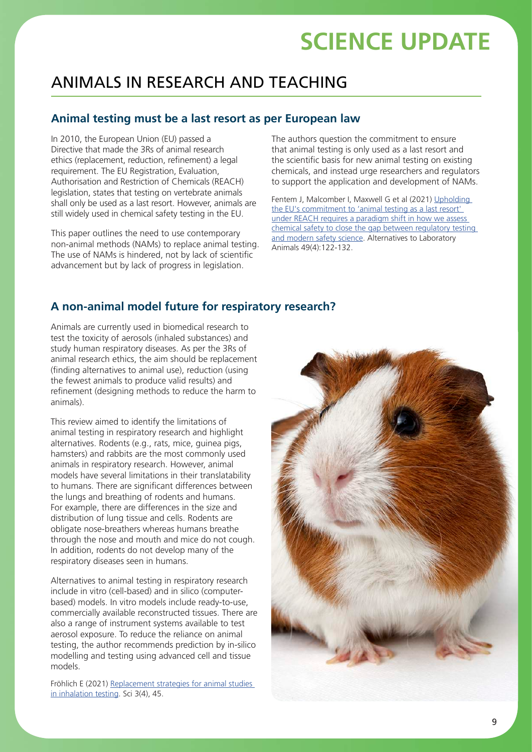# ANIMALS IN RESEARCH AND TEACHING

## **Animal testing must be a last resort as per European law**

In 2010, the European Union (EU) passed a Directive that made the 3Rs of animal research ethics (replacement, reduction, refinement) a legal requirement. The EU Registration, Evaluation, Authorisation and Restriction of Chemicals (REACH) legislation, states that testing on vertebrate animals shall only be used as a last resort. However, animals are still widely used in chemical safety testing in the EU.

This paper outlines the need to use contemporary non-animal methods (NAMs) to replace animal testing. The use of NAMs is hindered, not by lack of scientific advancement but by lack of progress in legislation.

The authors question the commitment to ensure that animal testing is only used as a last resort and the scientific basis for new animal testing on existing chemicals, and instead urge researchers and regulators to support the application and development of NAMs.

Fentem J, Malcomber I, Maxwell G et al (2021) Upholding [the EU's commitment to 'animal testing as a last resort'](https://pubmed.ncbi.nlm.nih.gov/34461762/)  [under REACH requires a paradigm shift in how we assess](https://pubmed.ncbi.nlm.nih.gov/34461762/)  [chemical safety to close the gap between regulatory testing](https://pubmed.ncbi.nlm.nih.gov/34461762/)  [and modern safety science](https://pubmed.ncbi.nlm.nih.gov/34461762/). Alternatives to Laboratory Animals 49(4):122-132.

## **A non-animal model future for respiratory research?**

Animals are currently used in biomedical research to test the toxicity of aerosols (inhaled substances) and study human respiratory diseases. As per the 3Rs of animal research ethics, the aim should be replacement (finding alternatives to animal use), reduction (using the fewest animals to produce valid results) and refinement (designing methods to reduce the harm to animals).

This review aimed to identify the limitations of animal testing in respiratory research and highlight alternatives. Rodents (e.g., rats, mice, guinea pigs, hamsters) and rabbits are the most commonly used animals in respiratory research. However, animal models have several limitations in their translatability to humans. There are significant differences between the lungs and breathing of rodents and humans. For example, there are differences in the size and distribution of lung tissue and cells. Rodents are obligate nose-breathers whereas humans breathe through the nose and mouth and mice do not cough. In addition, rodents do not develop many of the respiratory diseases seen in humans.

Alternatives to animal testing in respiratory research include in vitro (cell-based) and in silico (computerbased) models. In vitro models include ready-to-use, commercially available reconstructed tissues. There are also a range of instrument systems available to test aerosol exposure. To reduce the reliance on animal testing, the author recommends prediction by in-silico modelling and testing using advanced cell and tissue models.

Fröhlich E (2021) [Replacement strategies for animal studies](https://www.mdpi.com/2413-4155/3/4/45)  [in inhalation testing.](https://www.mdpi.com/2413-4155/3/4/45) Sci 3(4), 45.

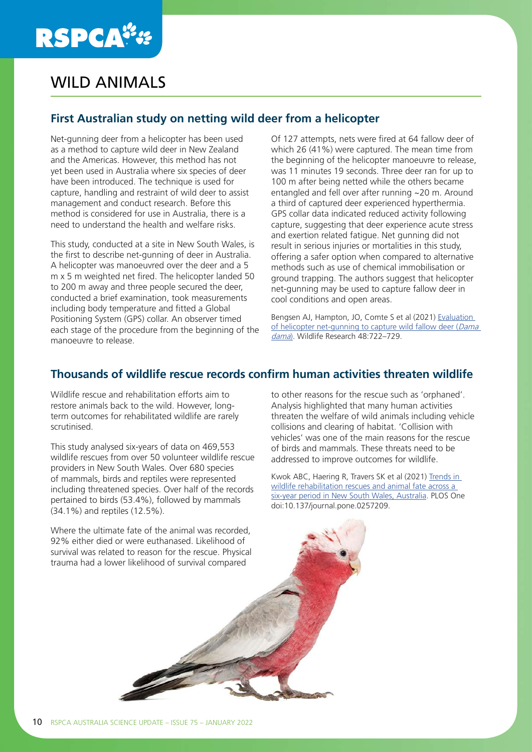# **RSPCA®**

# WILD ANIMALS

## **First Australian study on netting wild deer from a helicopter**

Net-gunning deer from a helicopter has been used as a method to capture wild deer in New Zealand and the Americas. However, this method has not yet been used in Australia where six species of deer have been introduced. The technique is used for capture, handling and restraint of wild deer to assist management and conduct research. Before this method is considered for use in Australia, there is a need to understand the health and welfare risks.

This study, conducted at a site in New South Wales, is the first to describe net-gunning of deer in Australia. A helicopter was manoeuvred over the deer and a 5 m x 5 m weighted net fired. The helicopter landed 50 to 200 m away and three people secured the deer, conducted a brief examination, took measurements including body temperature and fitted a Global Positioning System (GPS) collar. An observer timed each stage of the procedure from the beginning of the manoeuvre to release.

Of 127 attempts, nets were fired at 64 fallow deer of which 26 (41%) were captured. The mean time from the beginning of the helicopter manoeuvre to release, was 11 minutes 19 seconds. Three deer ran for up to 100 m after being netted while the others became entangled and fell over after running ~20 m. Around a third of captured deer experienced hyperthermia. GPS collar data indicated reduced activity following capture, suggesting that deer experience acute stress and exertion related fatigue. Net gunning did not result in serious injuries or mortalities in this study, offering a safer option when compared to alternative methods such as use of chemical immobilisation or ground trapping. The authors suggest that helicopter net-gunning may be used to capture fallow deer in cool conditions and open areas.

Bengsen AJ, Hampton, JO, Comte S et al (2021) [Evaluation](https://www.publish.csiro.au/wr/WR21007)  [of helicopter net-gunning to capture wild fallow deer \(](https://www.publish.csiro.au/wr/WR21007)Dama [dama](https://www.publish.csiro.au/wr/WR21007)). Wildlife Research 48:722–729.

## **Thousands of wildlife rescue records confirm human activities threaten wildlife**

Wildlife rescue and rehabilitation efforts aim to restore animals back to the wild. However, longterm outcomes for rehabilitated wildlife are rarely scrutinised.

This study analysed six-years of data on 469,553 wildlife rescues from over 50 volunteer wildlife rescue providers in New South Wales. Over 680 species of mammals, birds and reptiles were represented including threatened species. Over half of the records pertained to birds (53.4%), followed by mammals (34.1%) and reptiles (12.5%).

Where the ultimate fate of the animal was recorded, 92% either died or were euthanased. Likelihood of survival was related to reason for the rescue. Physical trauma had a lower likelihood of survival compared

to other reasons for the rescue such as 'orphaned'. Analysis highlighted that many human activities threaten the welfare of wild animals including vehicle collisions and clearing of habitat. 'Collision with vehicles' was one of the main reasons for the rescue of birds and mammals. These threats need to be addressed to improve outcomes for wildlife.

Kwok ABC, Haering R, Travers SK et al (2021) [Trends in](https://journals.plos.org/plosone/article?id=10.1371/journal.pone.0257209)  [wildlife rehabilitation rescues and animal fate across a](https://journals.plos.org/plosone/article?id=10.1371/journal.pone.0257209)  [six-year period in New South Wales, Australia](https://journals.plos.org/plosone/article?id=10.1371/journal.pone.0257209). PLOS One doi:10.137/journal.pone.0257209.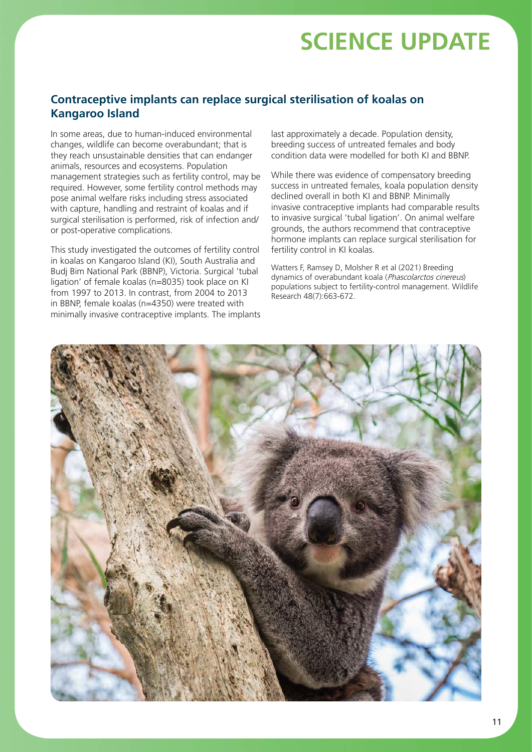## **Contraceptive implants can replace surgical sterilisation of koalas on Kangaroo Island**

In some areas, due to human-induced environmental changes, wildlife can become overabundant; that is they reach unsustainable densities that can endanger animals, resources and ecosystems. Population management strategies such as fertility control, may be required. However, some fertility control methods may pose animal welfare risks including stress associated with capture, handling and restraint of koalas and if surgical sterilisation is performed, risk of infection and/ or post-operative complications.

This study investigated the outcomes of fertility control in koalas on Kangaroo Island (KI), South Australia and Budj Bim National Park (BBNP), Victoria. Surgical 'tubal ligation' of female koalas (n=8035) took place on KI from 1997 to 2013. In contrast, from 2004 to 2013 in BBNP, female koalas (n=4350) were treated with minimally invasive contraceptive implants. The implants last approximately a decade. Population density, breeding success of untreated females and body condition data were modelled for both KI and BBNP.

While there was evidence of compensatory breeding success in untreated females, koala population density declined overall in both KI and BBNP. Minimally invasive contraceptive implants had comparable results to invasive surgical 'tubal ligation'. On animal welfare grounds, the authors recommend that contraceptive hormone implants can replace surgical sterilisation for fertility control in KI koalas.

Watters F, Ramsey D, Molsher R et al (2021) Breeding dynamics of overabundant koala (Phascolarctos cinereus) populations subject to fertility-control management. Wildlife Research 48(7):663-672.

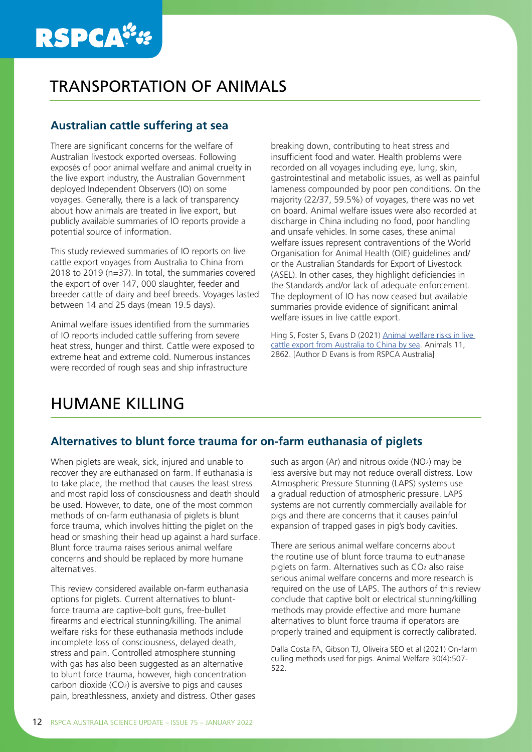# **RSPCA**":

## TRANSPORTATION OF ANIMALS

## **Australian cattle suffering at sea**

There are significant concerns for the welfare of Australian livestock exported overseas. Following exposés of poor animal welfare and animal cruelty in the live export industry, the Australian Government deployed Independent Observers (IO) on some voyages. Generally, there is a lack of transparency about how animals are treated in live export, but publicly available summaries of IO reports provide a potential source of information.

This study reviewed summaries of IO reports on live cattle export voyages from Australia to China from 2018 to 2019 (n=37). In total, the summaries covered the export of over 147, 000 slaughter, feeder and breeder cattle of dairy and beef breeds. Voyages lasted between 14 and 25 days (mean 19.5 days).

Animal welfare issues identified from the summaries of IO reports included cattle suffering from severe heat stress, hunger and thirst. Cattle were exposed to extreme heat and extreme cold. Numerous instances were recorded of rough seas and ship infrastructure

breaking down, contributing to heat stress and insufficient food and water. Health problems were recorded on all voyages including eye, lung, skin, gastrointestinal and metabolic issues, as well as painful lameness compounded by poor pen conditions. On the majority (22/37, 59.5%) of voyages, there was no vet on board. Animal welfare issues were also recorded at discharge in China including no food, poor handling and unsafe vehicles. In some cases, these animal welfare issues represent contraventions of the World Organisation for Animal Health (OIE) guidelines and/ or the Australian Standards for Export of Livestock (ASEL). In other cases, they highlight deficiencies in the Standards and/or lack of adequate enforcement. The deployment of IO has now ceased but available summaries provide evidence of significant animal welfare issues in live cattle export.

Hing S, Foster S, Evans D (2021) Animal welfare risks in live [cattle export from Australia to China by sea](https://www.ncbi.nlm.nih.gov/pmc/articles/PMC8532794/). Animals 11, 2862. [Author D Evans is from RSPCA Australia]

## HUMANE KILLING

### **Alternatives to blunt force trauma for on-farm euthanasia of piglets**

When piglets are weak, sick, injured and unable to recover they are euthanased on farm. If euthanasia is to take place, the method that causes the least stress and most rapid loss of consciousness and death should be used. However, to date, one of the most common methods of on-farm euthanasia of piglets is blunt force trauma, which involves hitting the piglet on the head or smashing their head up against a hard surface. Blunt force trauma raises serious animal welfare concerns and should be replaced by more humane alternatives.

This review considered available on-farm euthanasia options for piglets. Current alternatives to bluntforce trauma are captive-bolt guns, free-bullet firearms and electrical stunning/killing. The animal welfare risks for these euthanasia methods include incomplete loss of consciousness, delayed death, stress and pain. Controlled atmosphere stunning with gas has also been suggested as an alternative to blunt force trauma, however, high concentration carbon dioxide (CO2) is aversive to pigs and causes pain, breathlessness, anxiety and distress. Other gases such as argon (Ar) and nitrous oxide (NO2) may be less aversive but may not reduce overall distress. Low Atmospheric Pressure Stunning (LAPS) systems use a gradual reduction of atmospheric pressure. LAPS systems are not currently commercially available for pigs and there are concerns that it causes painful expansion of trapped gases in pig's body cavities.

There are serious animal welfare concerns about the routine use of blunt force trauma to euthanase piglets on farm. Alternatives such as CO2 also raise serious animal welfare concerns and more research is required on the use of LAPS. The authors of this review conclude that captive bolt or electrical stunning/killing methods may provide effective and more humane alternatives to blunt force trauma if operators are properly trained and equipment is correctly calibrated.

Dalla Costa FA, Gibson TJ, Oliveira SEO et al (2021) On-farm culling methods used for pigs. Animal Welfare 30(4):507- 522.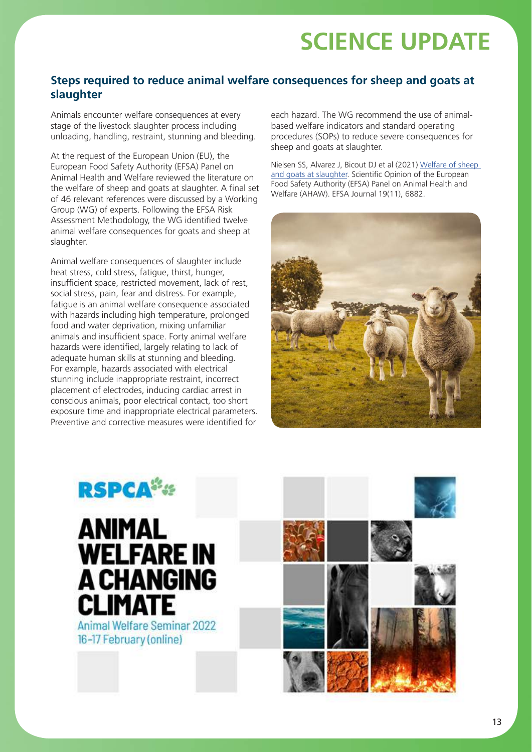## **Steps required to reduce animal welfare consequences for sheep and goats at slaughter**

Animals encounter welfare consequences at every stage of the livestock slaughter process including unloading, handling, restraint, stunning and bleeding.

At the request of the European Union (EU), the European Food Safety Authority (EFSA) Panel on Animal Health and Welfare reviewed the literature on the welfare of sheep and goats at slaughter. A final set of 46 relevant references were discussed by a Working Group (WG) of experts. Following the EFSA Risk Assessment Methodology, the WG identified twelve animal welfare consequences for goats and sheep at slaughter.

Animal welfare consequences of slaughter include heat stress, cold stress, fatigue, thirst, hunger, insufficient space, restricted movement, lack of rest, social stress, pain, fear and distress. For example, fatigue is an animal welfare consequence associated with hazards including high temperature, prolonged food and water deprivation, mixing unfamiliar animals and insufficient space. Forty animal welfare hazards were identified, largely relating to lack of adequate human skills at stunning and bleeding. For example, hazards associated with electrical stunning include inappropriate restraint, incorrect placement of electrodes, inducing cardiac arrest in conscious animals, poor electrical contact, too short exposure time and inappropriate electrical parameters. Preventive and corrective measures were identified for

each hazard. The WG recommend the use of animalbased welfare indicators and standard operating procedures (SOPs) to reduce severe consequences for sheep and goats at slaughter.

Nielsen SS, Alvarez J, Bicout DJ et al (2021) [Welfare of sheep](https://www.efsa.europa.eu/en/efsajournal/pub/6882)  [and goats at slaughter.](https://www.efsa.europa.eu/en/efsajournal/pub/6882) Scientific Opinion of the European Food Safety Authority (EFSA) Panel on Animal Health and Welfare (AHAW). EFSA Journal 19(11), 6882.





# **ANIMAL WELFARE IN A CHANGING CLIMATE**

**Animal Welfare Seminar 2022** 16-17 February (online)

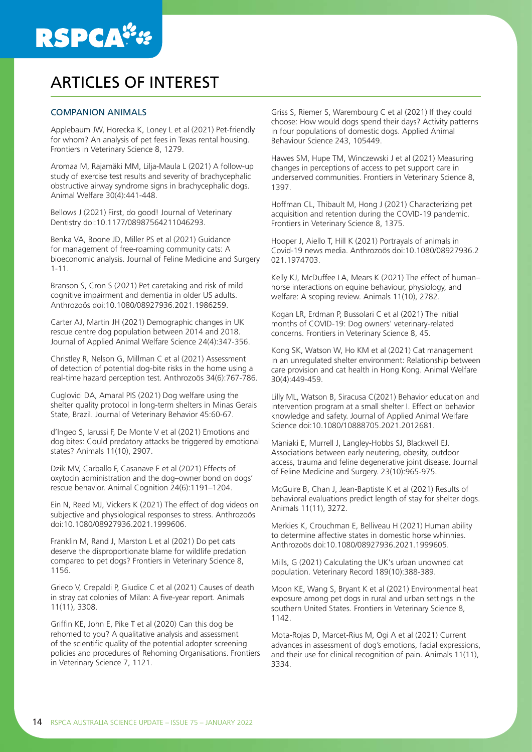

## ARTICLES OF INTEREST

#### COMPANION ANIMALS

Applebaum JW, Horecka K, Loney L et al (2021) Pet-friendly for whom? An analysis of pet fees in Texas rental housing. Frontiers in Veterinary Science 8, 1279.

Aromaa M, Rajamäki MM, Lilja-Maula L (2021) A follow-up study of exercise test results and severity of brachycephalic obstructive airway syndrome signs in brachycephalic dogs. Animal Welfare 30(4):441-448.

Bellows J (2021) First, do good! Journal of Veterinary Dentistry doi:10.1177/08987564211046293.

Benka VA, Boone JD, Miller PS et al (2021) Guidance for management of free-roaming community cats: A bioeconomic analysis. Journal of Feline Medicine and Surgery 1-11.

Branson S, Cron S (2021) Pet caretaking and risk of mild cognitive impairment and dementia in older US adults. Anthrozoös doi:10.1080/08927936.2021.1986259.

Carter AJ, Martin JH (2021) Demographic changes in UK rescue centre dog population between 2014 and 2018. Journal of Applied Animal Welfare Science 24(4):347-356.

Christley R, Nelson G, Millman C et al (2021) Assessment of detection of potential dog-bite risks in the home using a real-time hazard perception test. Anthrozoös 34(6):767-786.

Cuglovici DA, Amaral PIS (2021) Dog welfare using the shelter quality protocol in long-term shelters in Minas Gerais State, Brazil. Journal of Veterinary Behavior 45:60-67.

d'Ingeo S, Iarussi F, De Monte V et al (2021) Emotions and dog bites: Could predatory attacks be triggered by emotional states? Animals 11(10), 2907.

Dzik MV, Carballo F, Casanave E et al (2021) Effects of oxytocin administration and the dog–owner bond on dogs' rescue behavior. Animal Cognition 24(6):1191–1204.

Ein N, Reed MJ, Vickers K (2021) The effect of dog videos on subjective and physiological responses to stress. Anthrozoös doi:10.1080/08927936.2021.1999606.

Franklin M, Rand J, Marston L et al (2021) Do pet cats deserve the disproportionate blame for wildlife predation compared to pet dogs? Frontiers in Veterinary Science 8, 1156.

Grieco V, Crepaldi P, Giudice C et al (2021) Causes of death in stray cat colonies of Milan: A five-year report. Animals 11(11), 3308.

Griffin KE, John E, Pike T et al (2020) Can this dog be rehomed to you? A qualitative analysis and assessment of the scientific quality of the potential adopter screening policies and procedures of Rehoming Organisations. Frontiers in Veterinary Science 7, 1121.

Griss S, Riemer S, Warembourg C et al (2021) If they could choose: How would dogs spend their days? Activity patterns in four populations of domestic dogs. Applied Animal Behaviour Science 243, 105449.

Hawes SM, Hupe TM, Winczewski J et al (2021) Measuring changes in perceptions of access to pet support care in underserved communities. Frontiers in Veterinary Science 8, 1397.

Hoffman CL, Thibault M, Hong J (2021) Characterizing pet acquisition and retention during the COVID-19 pandemic. Frontiers in Veterinary Science 8, 1375.

Hooper J, Aiello T, Hill K (2021) Portrayals of animals in Covid-19 news media. Anthrozoös doi:10.1080/08927936.2 021.1974703.

Kelly KJ, McDuffee LA, Mears K (2021) The effect of human– horse interactions on equine behaviour, physiology, and welfare: A scoping review. Animals 11(10), 2782.

Kogan LR, Erdman P, Bussolari C et al (2021) The initial months of COVID-19: Dog owners' veterinary-related concerns. Frontiers in Veterinary Science 8, 45.

Kong SK, Watson W, Ho KM et al (2021) Cat management in an unregulated shelter environment: Relationship between care provision and cat health in Hong Kong. Animal Welfare 30(4):449-459.

Lilly ML, Watson B, Siracusa C(2021) Behavior education and intervention program at a small shelter I. Effect on behavior knowledge and safety. Journal of Applied Animal Welfare Science doi:10.1080/10888705.2021.2012681.

Maniaki E, Murrell J, Langley-Hobbs SJ, Blackwell EJ. Associations between early neutering, obesity, outdoor access, trauma and feline degenerative joint disease. Journal of Feline Medicine and Surgery. 23(10):965-975.

McGuire B, Chan J, Jean-Baptiste K et al (2021) Results of behavioral evaluations predict length of stay for shelter dogs. Animals 11(11), 3272.

Merkies K, Crouchman E, Belliveau H (2021) Human ability to determine affective states in domestic horse whinnies. Anthrozoös doi:10.1080/08927936.2021.1999605.

Mills, G (2021) Calculating the UK's urban unowned cat population. Veterinary Record 189(10):388-389.

Moon KE, Wang S, Bryant K et al (2021) Environmental heat exposure among pet dogs in rural and urban settings in the southern United States. Frontiers in Veterinary Science 8, 1142.

Mota-Rojas D, Marcet-Rius M, Ogi A et al (2021) Current advances in assessment of dog's emotions, facial expressions, and their use for clinical recognition of pain. Animals 11(11), 3334.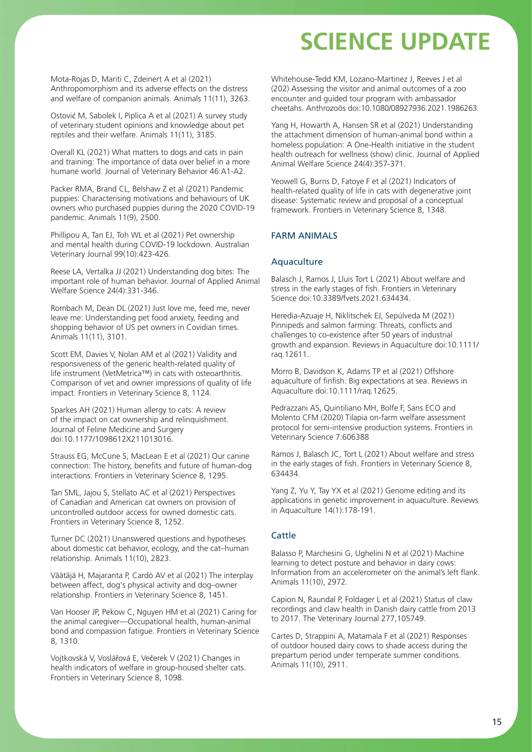Mota-Rojas D, Mariti C, Zdeinert A et al (2021) Anthropomorphism and its adverse effects on the distress and welfare of companion animals. Animals 11(11), 3263.

Ostović M, Sabolek I, Piplica A et al (2021) A survey study of veterinary student opinions and knowledge about pet reptiles and their welfare. Animals 11(11), 3185.

Overall KL (2021) What matters to dogs and cats in pain and training: The importance of data over belief in a more humane world. Journal of Veterinary Behavior 46:A1-A2.

Packer RMA, Brand CL, Belshaw Z et al (2021) Pandemic puppies: Characterising motivations and behaviours of UK owners who purchased puppies during the 2020 COVID-19 pandemic. Animals 11(9), 2500.

Phillipou A, Tan EJ, Toh WL et al (2021) Pet ownership and mental health during COVID-19 lockdown. Australian Veterinary Journal 99(10):423-426.

Reese LA, Vertalka JJ (2021) Understanding dog bites: The important role of human behavior. Journal of Applied Animal Welfare Science 24(4):331-346.

Rombach M, Dean DL (2021) Just love me, feed me, never leave me: Understanding pet food anxiety, feeding and shopping behavior of US pet owners in Covidian times. Animals 11(11), 3101.

Scott EM, Davies V, Nolan AM et al (2021) Validity and responsiveness of the generic health-related quality of life instrument (VetMetrica™) in cats with osteoarthritis. Comparison of vet and owner impressions of quality of life impact. Frontiers in Veterinary Science 8, 1124.

Sparkes AH (2021) Human allergy to cats: A review of the impact on cat ownership and relinquishment. Journal of Feline Medicine and Surgery doi:10.1177/1098612X211013016.

Strauss EG, McCune S, MacLean E et al (2021) Our canine connection: The history, benefits and future of human-dog interactions. Frontiers in Veterinary Science 8, 1295.

Tan SML, Jajou S, Stellato AC et al (2021) Perspectives of Canadian and American cat owners on provision of uncontrolled outdoor access for owned domestic cats. Frontiers in Veterinary Science 8, 1252.

Turner DC (2021) Unanswered questions and hypotheses about domestic cat behavior, ecology, and the cat–human relationship. Animals 11(10), 2823.

Väätäjä H, Majaranta P, Cardó AV et al (2021) The interplay between affect, dog's physical activity and dog–owner relationship. Frontiers in Veterinary Science 8, 1451.

Van Hooser JP, Pekow C, Nguyen HM et al (2021) Caring for the animal caregiver—Occupational health, human-animal bond and compassion fatigue. Frontiers in Veterinary Science 8, 1310.

Vojtkovská V, Voslářová E, Večerek V (2021) Changes in health indicators of welfare in group-housed shelter cats. Frontiers in Veterinary Science 8, 1098.

Whitehouse-Tedd KM, Lozano-Martinez J, Reeves J et al (202) Assessing the visitor and animal outcomes of a zoo encounter and guided tour program with ambassador cheetahs. Anthrozoös doi:10.1080/08927936.2021.1986263.

Yang H, Howarth A, Hansen SR et al (2021) Understanding the attachment dimension of human-animal bond within a homeless population: A One-Health initiative in the student health outreach for wellness (show) clinic. Journal of Applied Animal Welfare Science 24(4):357-371.

Yeowell G, Burns D, Fatoye F et al (2021) Indicators of health-related quality of life in cats with degenerative joint disease: Systematic review and proposal of a conceptual framework. Frontiers in Veterinary Science 8, 1348.

### FARM ANIMALS

#### **Aquaculture**

Balasch J, Ramos J, Lluis Tort L (2021) About welfare and stress in the early stages of fish. Frontiers in Veterinary Science doi:10.3389/fvets.2021.634434.

Heredia-Azuaje H, Niklitschek EJ, Sepúlveda M (2021) Pinnipeds and salmon farming: Threats, conflicts and challenges to co-existence after 50 years of industrial growth and expansion. Reviews in Aquaculture doi:10.1111/ raq.12611.

Morro B, Davidson K, Adams TP et al (2021) Offshore aquaculture of finfish: Big expectations at sea. Reviews in Aquaculture doi:10.1111/raq.12625.

Pedrazzani AS, Quintiliano MH, Bolfe F, Sans ECO and Molento CFM (2020) Tilapia on-farm welfare assessment protocol for semi-intensive production systems. Frontiers in Veterinary Science 7:606388

Ramos J, Balasch JC, Tort L (2021) About welfare and stress in the early stages of fish. Frontiers in Veterinary Science 8, 634434.

Yang Z, Yu Y, Tay YX et al (2021) Genome editing and its applications in genetic improvement in aquaculture. Reviews in Aquaculture 14(1):178-191.

#### Cattle

Balasso P, Marchesini G, Ughelini N et al (2021) Machine learning to detect posture and behavior in dairy cows: Information from an accelerometer on the animal's left flank. Animals 11(10), 2972.

Capion N, Raundal P, Foldager L et al (2021) Status of claw recordings and claw health in Danish dairy cattle from 2013 to 2017. The Veterinary Journal 277,105749.

Cartes D, Strappini A, Matamala F et al (2021) Responses of outdoor housed dairy cows to shade access during the prepartum period under temperate summer conditions. Animals 11(10), 2911.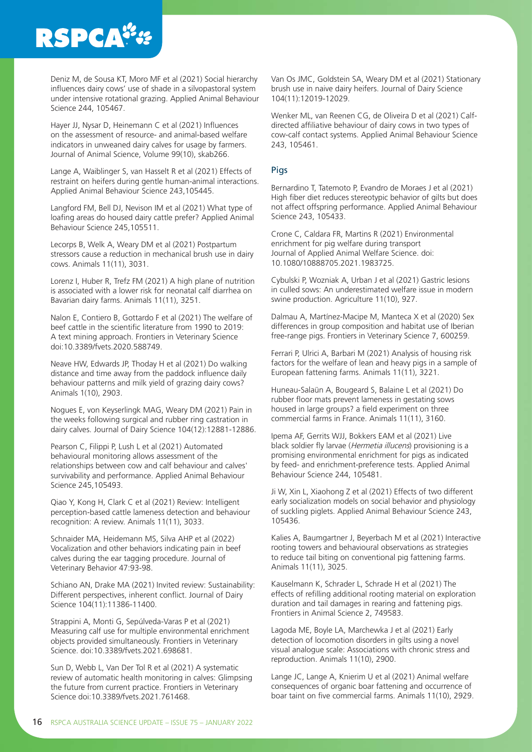# **RSPCA®**

Deniz M, de Sousa KT, Moro MF et al (2021) Social hierarchy influences dairy cows' use of shade in a silvopastoral system under intensive rotational grazing. Applied Animal Behaviour Science 244, 105467.

Hayer JJ, Nysar D, Heinemann C et al (2021) Influences on the assessment of resource- and animal-based welfare indicators in unweaned dairy calves for usage by farmers. Journal of Animal Science, Volume 99(10), skab266.

Lange A, Waiblinger S, van Hasselt R et al (2021) Effects of restraint on heifers during gentle human-animal interactions. Applied Animal Behaviour Science 243,105445.

Langford FM, Bell DJ, Nevison IM et al (2021) What type of loafing areas do housed dairy cattle prefer? Applied Animal Behaviour Science 245,105511.

Lecorps B, Welk A, Weary DM et al (2021) Postpartum stressors cause a reduction in mechanical brush use in dairy cows. Animals 11(11), 3031.

Lorenz I, Huber R, Trefz FM (2021) A high plane of nutrition is associated with a lower risk for neonatal calf diarrhea on Bavarian dairy farms. Animals 11(11), 3251.

Nalon E, Contiero B, Gottardo F et al (2021) The welfare of beef cattle in the scientific literature from 1990 to 2019: A text mining approach. Frontiers in Veterinary Science doi:10.3389/fvets.2020.588749.

Neave HW, Edwards JP, Thoday H et al (2021) Do walking distance and time away from the paddock influence daily behaviour patterns and milk yield of grazing dairy cows? Animals 1(10), 2903.

Nogues E, von Keyserlingk MAG, Weary DM (2021) Pain in the weeks following surgical and rubber ring castration in dairy calves. Journal of Dairy Science 104(12):12881-12886.

Pearson C, Filippi P, Lush L et al (2021) Automated behavioural monitoring allows assessment of the relationships between cow and calf behaviour and calves' survivability and performance. Applied Animal Behaviour Science 245,105493.

Qiao Y, Kong H, Clark C et al (2021) Review: Intelligent perception-based cattle lameness detection and behaviour recognition: A review. Animals 11(11), 3033.

Schnaider MA, Heidemann MS, Silva AHP et al (2022) Vocalization and other behaviors indicating pain in beef calves during the ear tagging procedure. Journal of Veterinary Behavior 47:93-98.

Schiano AN, Drake MA (2021) Invited review: Sustainability: Different perspectives, inherent conflict. Journal of Dairy Science 104(11):11386-11400.

Strappini A, Monti G, Sepúlveda-Varas P et al (2021) Measuring calf use for multiple environmental enrichment objects provided simultaneously. Frontiers in Veterinary Science. doi:10.3389/fvets.2021.698681.

Sun D, Webb L, Van Der Tol R et al (2021) A systematic review of automatic health monitoring in calves: Glimpsing the future from current practice. Frontiers in Veterinary Science doi:10.3389/fvets.2021.761468.

Van Os JMC, Goldstein SA, Weary DM et al (2021) Stationary brush use in naive dairy heifers. Journal of Dairy Science 104(11):12019-12029.

Wenker ML, van Reenen CG, de Oliveira D et al (2021) Calfdirected affiliative behaviour of dairy cows in two types of cow-calf contact systems. Applied Animal Behaviour Science 243, 105461.

### Pigs

Bernardino T, Tatemoto P, Evandro de Moraes J et al (2021) High fiber diet reduces stereotypic behavior of gilts but does not affect offspring performance. Applied Animal Behaviour Science 243, 105433.

Crone C, Caldara FR, Martins R (2021) Environmental enrichment for pig welfare during transport Journal of Applied Animal Welfare Science. doi: 10.1080/10888705.2021.1983725.

Cybulski P, Wozniak A, Urban J et al (2021) Gastric lesions in culled sows: An underestimated welfare issue in modern swine production. Agriculture 11(10), 927.

Dalmau A, Martínez-Macipe M, Manteca X et al (2020) Sex differences in group composition and habitat use of Iberian free-range pigs. Frontiers in Veterinary Science 7, 600259.

Ferrari P, Ulrici A, Barbari M (2021) Analysis of housing risk factors for the welfare of lean and heavy pigs in a sample of European fattening farms. Animals 11(11), 3221.

Huneau-Salaün A, Bougeard S, Balaine L et al (2021) Do rubber floor mats prevent lameness in gestating sows housed in large groups? a field experiment on three commercial farms in France. Animals 11(11), 3160.

Ipema AF, Gerrits WJJ, Bokkers EAM et al (2021) Live black soldier fly larvae (Hermetia illucens) provisioning is a promising environmental enrichment for pigs as indicated by feed- and enrichment-preference tests. Applied Animal Behaviour Science 244, 105481.

Ji W, Xin L, Xiaohong Z et al (2021) Effects of two different early socialization models on social behavior and physiology of suckling piglets. Applied Animal Behaviour Science 243, 105436.

Kalies A, Baumgartner J, Beyerbach M et al (2021) Interactive rooting towers and behavioural observations as strategies to reduce tail biting on conventional pig fattening farms. Animals 11(11), 3025.

Kauselmann K, Schrader L, Schrade H et al (2021) The effects of refilling additional rooting material on exploration duration and tail damages in rearing and fattening pigs. Frontiers in Animal Science 2, 749583.

Lagoda ME, Boyle LA, Marchewka J et al (2021) Early detection of locomotion disorders in gilts using a novel visual analogue scale: Associations with chronic stress and reproduction. Animals 11(10), 2900.

Lange JC, Lange A, Knierim U et al (2021) Animal welfare consequences of organic boar fattening and occurrence of boar taint on five commercial farms. Animals 11(10), 2929.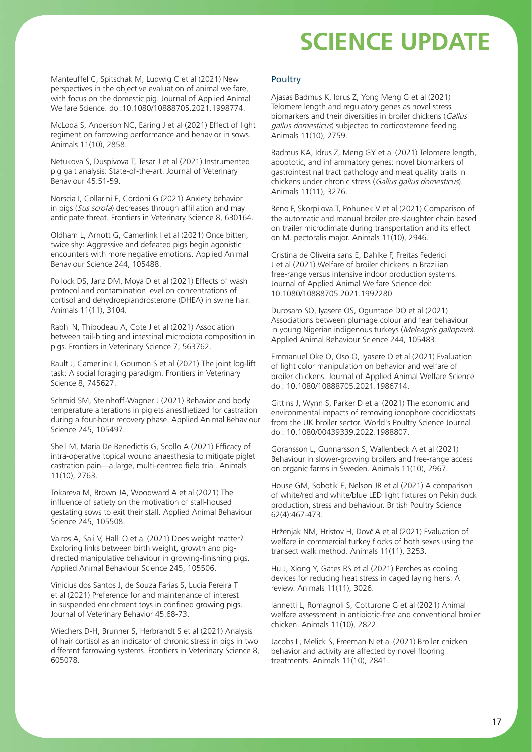Manteuffel C, Spitschak M, Ludwig C et al (2021) New perspectives in the objective evaluation of animal welfare, with focus on the domestic pig. Journal of Applied Animal Welfare Science. doi:10.1080/10888705.2021.1998774.

McLoda S, Anderson NC, Earing J et al (2021) Effect of light regiment on farrowing performance and behavior in sows. Animals 11(10), 2858.

Netukova S, Duspivova T, Tesar J et al (2021) Instrumented pig gait analysis: State-of-the-art. Journal of Veterinary Behaviour 45:51-59.

Norscia I, Collarini E, Cordoni G (2021) Anxiety behavior in pigs (Sus scrofa) decreases through affiliation and may anticipate threat. Frontiers in Veterinary Science 8, 630164.

Oldham L, Arnott G, Camerlink I et al (2021) Once bitten, twice shy: Aggressive and defeated pigs begin agonistic encounters with more negative emotions. Applied Animal Behaviour Science 244, 105488.

Pollock DS, Janz DM, Moya D et al (2021) Effects of wash protocol and contamination level on concentrations of cortisol and dehydroepiandrosterone (DHEA) in swine hair. Animals 11(11), 3104.

Rabhi N, Thibodeau A, Cote J et al (2021) Association between tail-biting and intestinal microbiota composition in pigs. Frontiers in Veterinary Science 7, 563762.

Rault J, Camerlink I, Goumon S et al (2021) The joint log-lift task: A social foraging paradigm. Frontiers in Veterinary Science 8, 745627.

Schmid SM, Steinhoff-Wagner J (2021) Behavior and body temperature alterations in piglets anesthetized for castration during a four-hour recovery phase. Applied Animal Behaviour Science 245, 105497.

Sheil M, Maria De Benedictis G, Scollo A (2021) Efficacy of intra-operative topical wound anaesthesia to mitigate piglet castration pain—a large, multi-centred field trial. Animals 11(10), 2763.

Tokareva M, Brown JA, Woodward A et al (2021) The influence of satiety on the motivation of stall-housed gestating sows to exit their stall. Applied Animal Behaviour Science 245, 105508.

Valros A, Sali V, Halli O et al (2021) Does weight matter? Exploring links between birth weight, growth and pigdirected manipulative behaviour in growing-finishing pigs. Applied Animal Behaviour Science 245, 105506.

Vinicius dos Santos J, de Souza Farias S, Lucia Pereira T et al (2021) Preference for and maintenance of interest in suspended enrichment toys in confined growing pigs. Journal of Veterinary Behavior 45:68-73.

Wiechers D-H, Brunner S, Herbrandt S et al (2021) Analysis of hair cortisol as an indicator of chronic stress in pigs in two different farrowing systems. Frontiers in Veterinary Science 8, 605078.

#### Poultry

Ajasas Badmus K, Idrus Z, Yong Meng G et al (2021) Telomere length and regulatory genes as novel stress biomarkers and their diversities in broiler chickens (Gallus gallus domesticus) subjected to corticosterone feeding. Animals 11(10), 2759.

Badmus KA, Idrus Z, Meng GY et al (2021) Telomere length, apoptotic, and inflammatory genes: novel biomarkers of gastrointestinal tract pathology and meat quality traits in chickens under chronic stress (Gallus gallus domesticus). Animals 11(11), 3276.

Beno F, Skorpilova T, Pohunek V et al (2021) Comparison of the automatic and manual broiler pre-slaughter chain based on trailer microclimate during transportation and its effect on M. pectoralis major. Animals 11(10), 2946.

Cristina de Oliveira sans E, Dahlke F, Freitas Federici J et al (2021) Welfare of broiler chickens in Brazilian free-range versus intensive indoor production systems. Journal of Applied Animal Welfare Science doi: 10.1080/10888705.2021.1992280

Durosaro SO, Iyasere OS, Oguntade DO et al (2021) Associations between plumage colour and fear behaviour in young Nigerian indigenous turkeys (Meleagris gallopavo). Applied Animal Behaviour Science 244, 105483.

Emmanuel Oke O, Oso O, Iyasere O et al (2021) Evaluation of light color manipulation on behavior and welfare of broiler chickens. Journal of Applied Animal Welfare Science doi: 10.1080/10888705.2021.1986714.

Gittins J, Wynn S, Parker D et al (2021) The economic and environmental impacts of removing ionophore coccidiostats from the UK broiler sector. World's Poultry Science Journal doi: 10.1080/00439339.2022.1988807.

Goransson L, Gunnarsson S, Wallenbeck A et al (2021) Behaviour in slower-growing broilers and free-range access on organic farms in Sweden. Animals 11(10), 2967.

House GM, Sobotik E, Nelson JR et al (2021) A comparison of white/red and white/blue LED light fixtures on Pekin duck production, stress and behaviour. British Poultry Science 62(4):467-473.

Hrženjak NM, Hristov H, Dovč A et al (2021) Evaluation of welfare in commercial turkey flocks of both sexes using the transect walk method. Animals 11(11), 3253.

Hu J, Xiong Y, Gates RS et al (2021) Perches as cooling devices for reducing heat stress in caged laying hens: A review. Animals 11(11), 3026.

Iannetti L, Romagnoli S, Cotturone G et al (2021) Animal welfare assessment in antibiotic-free and conventional broiler chicken. Animals 11(10), 2822.

Jacobs L, Melick S, Freeman N et al (2021) Broiler chicken behavior and activity are affected by novel flooring treatments. Animals 11(10), 2841.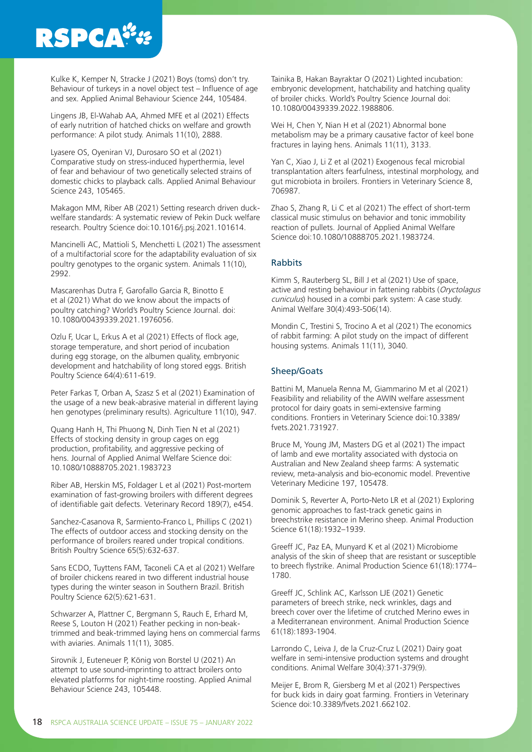# **RSPCA<sup>\*\*</sup>**

Kulke K, Kemper N, Stracke J (2021) Boys (toms) don't try. Behaviour of turkeys in a novel object test – Influence of age and sex. Applied Animal Behaviour Science 244, 105484.

Lingens JB, El-Wahab AA, Ahmed MFE et al (2021) Effects of early nutrition of hatched chicks on welfare and growth performance: A pilot study. Animals 11(10), 2888.

Lyasere OS, Oyeniran VJ, Durosaro SO et al (2021) Comparative study on stress-induced hyperthermia, level of fear and behaviour of two genetically selected strains of domestic chicks to playback calls. Applied Animal Behaviour Science 243, 105465.

Makagon MM, Riber AB (2021) Setting research driven duckwelfare standards: A systematic review of Pekin Duck welfare research. Poultry Science doi:10.1016/j.psj.2021.101614.

Mancinelli AC, Mattioli S, Menchetti L (2021) The assessment of a multifactorial score for the adaptability evaluation of six poultry genotypes to the organic system. Animals 11(10), 2992.

Mascarenhas Dutra F, Garofallo Garcia R, Binotto E et al (2021) What do we know about the impacts of poultry catching? World's Poultry Science Journal. doi: 10.1080/00439339.2021.1976056.

Ozlu F, Ucar L, Erkus A et al (2021) Effects of flock age, storage temperature, and short period of incubation during egg storage, on the albumen quality, embryonic development and hatchability of long stored eggs. British Poultry Science 64(4):611-619.

Peter Farkas T, Orban A, Szasz S et al (2021) Examination of the usage of a new beak-abrasive material in different laying hen genotypes (preliminary results). Agriculture 11(10), 947.

Quang Hanh H, Thi Phuong N, Dinh Tien N et al (2021) Effects of stocking density in group cages on egg production, profitability, and aggressive pecking of hens. Journal of Applied Animal Welfare Science doi: 10.1080/10888705.2021.1983723

Riber AB, Herskin MS, Foldager L et al (2021) Post-mortem examination of fast-growing broilers with different degrees of identifiable gait defects. Veterinary Record 189(7), e454.

Sanchez-Casanova R, Sarmiento-Franco L, Phillips C (2021) The effects of outdoor access and stocking density on the performance of broilers reared under tropical conditions. British Poultry Science 65(5):632-637.

Sans ECDO, Tuyttens FAM, Taconeli CA et al (2021) Welfare of broiler chickens reared in two different industrial house types during the winter season in Southern Brazil. British Poultry Science 62(5):621-631.

Schwarzer A, Plattner C, Bergmann S, Rauch E, Erhard M, Reese S, Louton H (2021) Feather pecking in non-beaktrimmed and beak-trimmed laying hens on commercial farms with aviaries. Animals 11(11), 3085.

Sirovnik J, Euteneuer P, König von Borstel U (2021) An attempt to use sound-imprinting to attract broilers onto elevated platforms for night-time roosting. Applied Animal Behaviour Science 243, 105448.

Tainika B, Hakan Bayraktar O (2021) Lighted incubation: embryonic development, hatchability and hatching quality of broiler chicks. World's Poultry Science Journal doi: 10.1080/00439339.2022.1988806.

Wei H, Chen Y, Nian H et al (2021) Abnormal bone metabolism may be a primary causative factor of keel bone fractures in laying hens. Animals 11(11), 3133.

Yan C, Xiao J, Li Z et al (2021) Exogenous fecal microbial transplantation alters fearfulness, intestinal morphology, and gut microbiota in broilers. Frontiers in Veterinary Science 8, 706987.

Zhao S, Zhang R, Li C et al (2021) The effect of short-term classical music stimulus on behavior and tonic immobility reaction of pullets. Journal of Applied Animal Welfare Science doi:10.1080/10888705.2021.1983724.

#### Rabbits

Kimm S, Rauterberg SL, Bill J et al (2021) Use of space, active and resting behaviour in fattening rabbits (Oryctolagus cuniculus) housed in a combi park system: A case study. Animal Welfare 30(4):493-506(14).

Mondin C, Trestini S, Trocino A et al (2021) The economics of rabbit farming: A pilot study on the impact of different housing systems. Animals 11(11), 3040.

### Sheep/Goats

Battini M, Manuela Renna M, Giammarino M et al (2021) Feasibility and reliability of the AWIN welfare assessment protocol for dairy goats in semi-extensive farming conditions. Frontiers in Veterinary Science doi:10.3389/ fvets.2021.731927.

Bruce M, Young JM, Masters DG et al (2021) The impact of lamb and ewe mortality associated with dystocia on Australian and New Zealand sheep farms: A systematic review, meta-analysis and bio-economic model. Preventive Veterinary Medicine 197, 105478.

Dominik S, Reverter A, Porto-Neto LR et al (2021) Exploring genomic approaches to fast-track genetic gains in breechstrike resistance in Merino sheep. Animal Production Science 61(18):1932–1939.

Greeff JC, Paz EA, Munyard K et al (2021) Microbiome analysis of the skin of sheep that are resistant or susceptible to breech flystrike. Animal Production Science 61(18):1774– 1780.

Greeff JC, Schlink AC, Karlsson LJE (2021) Genetic parameters of breech strike, neck wrinkles, dags and breech cover over the lifetime of crutched Merino ewes in a Mediterranean environment. Animal Production Science 61(18):1893-1904.

Larrondo C, Leiva J, de la Cruz-Cruz L (2021) Dairy goat welfare in semi-intensive production systems and drought conditions. Animal Welfare 30(4):371-379(9).

Meijer E, Brom R, Giersberg M et al (2021) Perspectives for buck kids in dairy goat farming. Frontiers in Veterinary Science doi:10.3389/fvets.2021.662102.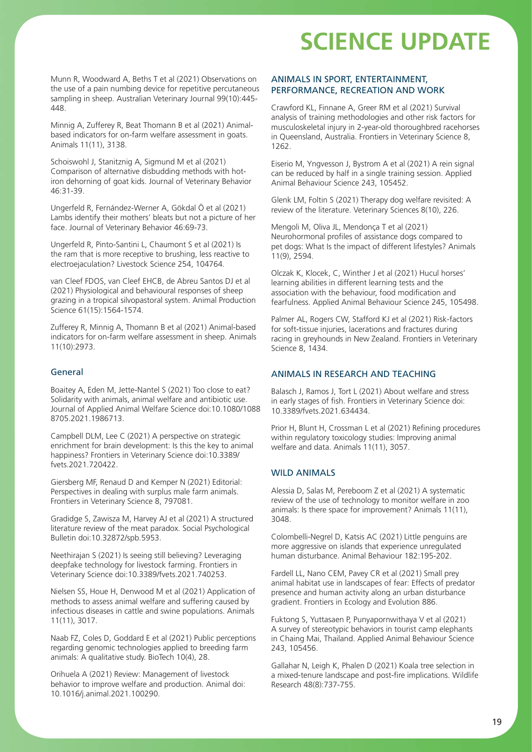Munn R, Woodward A, Beths T et al (2021) Observations on the use of a pain numbing device for repetitive percutaneous sampling in sheep. Australian Veterinary Journal 99(10):445- 448.

Minnig A, Zufferey R, Beat Thomann B et al (2021) Animalbased indicators for on-farm welfare assessment in goats. Animals 11(11), 3138.

Schoiswohl J, Stanitznig A, Sigmund M et al (2021) Comparison of alternative disbudding methods with hotiron dehorning of goat kids. Journal of Veterinary Behavior 46:31-39.

Ungerfeld R, Fernández-Werner A, Gökdal Ö et al (2021) Lambs identify their mothers' bleats but not a picture of her face. Journal of Veterinary Behavior 46:69-73.

Ungerfeld R, Pinto-Santini L, Chaumont S et al (2021) Is the ram that is more receptive to brushing, less reactive to electroejaculation? Livestock Science 254, 104764.

van Cleef FDOS, van Cleef EHCB, de Abreu Santos DJ et al (2021) Physiological and behavioural responses of sheep grazing in a tropical silvopastoral system. Animal Production Science 61(15):1564-1574.

Zufferey R, Minnig A, Thomann B et al (2021) Animal-based indicators for on-farm welfare assessment in sheep. Animals 11(10):2973.

#### General

Boaitey A, Eden M, Jette-Nantel S (2021) Too close to eat? Solidarity with animals, animal welfare and antibiotic use. Journal of Applied Animal Welfare Science doi:10.1080/1088 8705.2021.1986713.

Campbell DLM, Lee C (2021) A perspective on strategic enrichment for brain development: Is this the key to animal happiness? Frontiers in Veterinary Science doi:10.3389/ fvets.2021.720422.

Giersberg MF, Renaud D and Kemper N (2021) Editorial: Perspectives in dealing with surplus male farm animals. Frontiers in Veterinary Science 8, 797081.

Gradidge S, Zawisza M, Harvey AJ et al (2021) A structured literature review of the meat paradox. Social Psychological Bulletin doi:10.32872/spb.5953.

Neethirajan S (2021) Is seeing still believing? Leveraging deepfake technology for livestock farming. Frontiers in Veterinary Science doi:10.3389/fvets.2021.740253.

Nielsen SS, Houe H, Denwood M et al (2021) Application of methods to assess animal welfare and suffering caused by infectious diseases in cattle and swine populations. Animals 11(11), 3017.

Naab FZ, Coles D, Goddard E et al (2021) Public perceptions regarding genomic technologies applied to breeding farm animals: A qualitative study. BioTech 10(4), 28.

Orihuela A (2021) Review: Management of livestock behavior to improve welfare and production. Animal doi: 10.1016/j.animal.2021.100290.

### ANIMALS IN SPORT, ENTERTAINMENT, PERFORMANCE, RECREATION AND WORK

Crawford KL, Finnane A, Greer RM et al (2021) Survival analysis of training methodologies and other risk factors for musculoskeletal injury in 2-year-old thoroughbred racehorses in Queensland, Australia. Frontiers in Veterinary Science 8, 1262.

Eiserio M, Yngvesson J, Bystrom A et al (2021) A rein signal can be reduced by half in a single training session. Applied Animal Behaviour Science 243, 105452.

Glenk LM, Foltin S (2021) Therapy dog welfare revisited: A review of the literature. Veterinary Sciences 8(10), 226.

Mengoli M, Oliva JL, Mendonça T et al (2021) Neurohormonal profiles of assistance dogs compared to pet dogs: What Is the impact of different lifestyles? Animals 11(9), 2594.

Olczak K, Klocek, C, Winther J et al (2021) Hucul horses' learning abilities in different learning tests and the association with the behaviour, food modification and fearfulness. Applied Animal Behaviour Science 245, 105498.

Palmer AL, Rogers CW, Stafford KJ et al (2021) Risk-factors for soft-tissue injuries, lacerations and fractures during racing in greyhounds in New Zealand. Frontiers in Veterinary Science 8, 1434.

### ANIMALS IN RESEARCH AND TEACHING

Balasch J, Ramos J, Tort L (2021) About welfare and stress in early stages of fish. Frontiers in Veterinary Science doi: 10.3389/fvets.2021.634434.

Prior H, Blunt H, Crossman L et al (2021) Refining procedures within regulatory toxicology studies: Improving animal welfare and data. Animals 11(11), 3057.

#### WILD ANIMALS

Alessia D, Salas M, Pereboom Z et al (2021) A systematic review of the use of technology to monitor welfare in zoo animals: Is there space for improvement? Animals 11(11), 3048.

Colombelli-Negrel D, Katsis AC (2021) Little penguins are more aggressive on islands that experience unregulated human disturbance. Animal Behaviour 182:195-202.

Fardell LL, Nano CEM, Pavey CR et al (2021) Small prey animal habitat use in landscapes of fear: Effects of predator presence and human activity along an urban disturbance gradient. Frontiers in Ecology and Evolution 886.

Fuktong S, Yuttasaen P, Punyapornwithaya V et al (2021) A survey of stereotypic behaviors in tourist camp elephants in Chaing Mai, Thailand. Applied Animal Behaviour Science 243, 105456.

Gallahar N, Leigh K, Phalen D (2021) Koala tree selection in a mixed-tenure landscape and post-fire implications. Wildlife Research 48(8):737-755.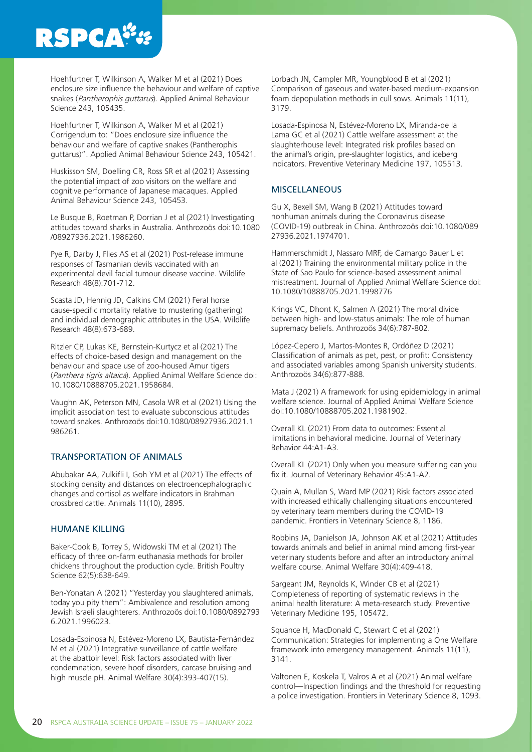# **RSPCA#**

Hoehfurtner T, Wilkinson A, Walker M et al (2021) Does enclosure size influence the behaviour and welfare of captive snakes (Pantherophis guttarus). Applied Animal Behaviour Science 243, 105435.

Hoehfurtner T, Wilkinson A, Walker M et al (2021) Corrigendum to: "Does enclosure size influence the behaviour and welfare of captive snakes (Pantherophis guttarus)". Applied Animal Behaviour Science 243, 105421.

Huskisson SM, Doelling CR, Ross SR et al (2021) Assessing the potential impact of zoo visitors on the welfare and cognitive performance of Japanese macaques. Applied Animal Behaviour Science 243, 105453.

Le Busque B, Roetman P, Dorrian J et al (2021) Investigating attitudes toward sharks in Australia. Anthrozoös doi:10.1080 /08927936.2021.1986260.

Pye R, Darby J, Flies AS et al (2021) Post-release immune responses of Tasmanian devils vaccinated with an experimental devil facial tumour disease vaccine. Wildlife Research 48(8):701-712.

Scasta JD, Hennig JD, Calkins CM (2021) Feral horse cause-specific mortality relative to mustering (gathering) and individual demographic attributes in the USA. Wildlife Research 48(8):673-689.

Ritzler CP, Lukas KE, Bernstein-Kurtycz et al (2021) The effects of choice-based design and management on the behaviour and space use of zoo-housed Amur tigers (Panthera tigris altaica). Applied Animal Welfare Science doi: 10.1080/10888705.2021.1958684.

Vaughn AK, Peterson MN, Casola WR et al (2021) Using the implicit association test to evaluate subconscious attitudes toward snakes. Anthrozoös doi:10.1080/08927936.2021.1 986261.

#### TRANSPORTATION OF ANIMALS

Abubakar AA, Zulkifli I, Goh YM et al (2021) The effects of stocking density and distances on electroencephalographic changes and cortisol as welfare indicators in Brahman crossbred cattle. Animals 11(10), 2895.

#### HUMANE KILLING

Baker-Cook B, Torrey S, Widowski TM et al (2021) The efficacy of three on-farm euthanasia methods for broiler chickens throughout the production cycle. British Poultry Science 62(5):638-649.

Ben-Yonatan A (2021) "Yesterday you slaughtered animals, today you pity them": Ambivalence and resolution among Jewish Israeli slaughterers. Anthrozoös doi:10.1080/0892793 6.2021.1996023.

Losada-Espinosa N, Estévez-Moreno LX, Bautista-Fernández M et al (2021) Integrative surveillance of cattle welfare at the abattoir level: Risk factors associated with liver condemnation, severe hoof disorders, carcase bruising and high muscle pH. Animal Welfare 30(4):393-407(15).

Lorbach JN, Campler MR, Youngblood B et al (2021) Comparison of gaseous and water-based medium-expansion foam depopulation methods in cull sows. Animals 11(11), 3179.

Losada-Espinosa N, Estévez-Moreno LX, Miranda-de la Lama GC et al (2021) Cattle welfare assessment at the slaughterhouse level: Integrated risk profiles based on the animal's origin, pre-slaughter logistics, and iceberg indicators. Preventive Veterinary Medicine 197, 105513.

### **MISCELLANEOUS**

Gu X, Bexell SM, Wang B (2021) Attitudes toward nonhuman animals during the Coronavirus disease (COVID-19) outbreak in China. Anthrozoös doi:10.1080/089 27936.2021.1974701.

Hammerschmidt J, Nassaro MRF, de Camargo Bauer L et al (2021) Training the environmental military police in the State of Sao Paulo for science-based assessment animal mistreatment. Journal of Applied Animal Welfare Science doi: 10.1080/10888705.2021.1998776

Krings VC, Dhont K, Salmen A (2021) The moral divide between high- and low-status animals: The role of human supremacy beliefs. Anthrozoös 34(6):787-802.

López-Cepero J, Martos-Montes R, Ordóñez D (2021) Classification of animals as pet, pest, or profit: Consistency and associated variables among Spanish university students. Anthrozoös 34(6):877-888.

Mata J (2021) A framework for using epidemiology in animal welfare science. Journal of Applied Animal Welfare Science doi:10.1080/10888705.2021.1981902.

Overall KL (2021) From data to outcomes: Essential limitations in behavioral medicine. Journal of Veterinary Behavior 44:A1-A3.

Overall KL (2021) Only when you measure suffering can you fix it. Journal of Veterinary Behavior 45:A1-A2.

Quain A, Mullan S, Ward MP (2021) Risk factors associated with increased ethically challenging situations encountered by veterinary team members during the COVID-19 pandemic. Frontiers in Veterinary Science 8, 1186.

Robbins JA, Danielson JA, Johnson AK et al (2021) Attitudes towards animals and belief in animal mind among first-year veterinary students before and after an introductory animal welfare course. Animal Welfare 30(4):409-418.

Sargeant JM, Reynolds K, Winder CB et al (2021) Completeness of reporting of systematic reviews in the animal health literature: A meta-research study. Preventive Veterinary Medicine 195, 105472.

Squance H, MacDonald C, Stewart C et al (2021) Communication: Strategies for implementing a One Welfare framework into emergency management. Animals 11(11), 3141.

Valtonen E, Koskela T, Valros A et al (2021) Animal welfare control—Inspection findings and the threshold for requesting a police investigation. Frontiers in Veterinary Science 8, 1093.